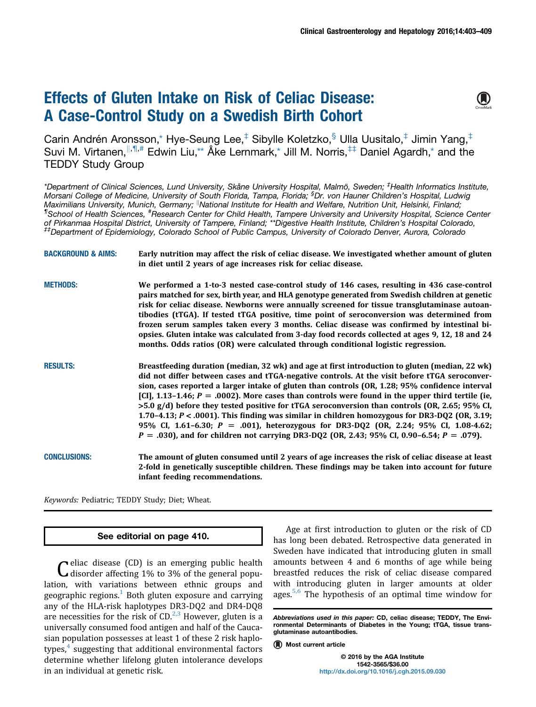# Effects of Gluten Intake on Risk of Celiac Disease: A Case-Control Study on a Swedish Birth Cohort



Carin Andrén Aronsson,\* Hye-Seung Lee,‡ Sibylle Koletzko,§ Ulla Uusitalo,‡ Jimin Yang,‡ Suvi M. Virtanen,  $\|\cdot\|^2$ ,# Edwin Liu,\*\* Åke Lernmark,\* Jill M. Norris,<sup>‡‡</sup> Daniel Agardh,\* and the TEDDY Study Group

\*Department of Clinical Sciences, Lund University, Skåne University Hospital, Malmö, Sweden; <sup>‡</sup>Health Informatics Institute, Morsani College of Medicine, University of South Florida, Tampa, Florida; <sup>§</sup>Dr. von Hauner Children's Hospital, Ludwig Maximilians University, Munich, Germany; <sup>I</sup>National Institute for Health and Welfare, Nutrition Unit, Helsinki, Finland; ¶ School of Health Sciences, # Research Center for Child Health, Tampere University and University Hospital, Science Center of Pirkanmaa Hospital District, University of Tampere, Finland; \*\*Digestive Health Institute, Children's Hospital Colorado,<br><sup>‡‡</sup>Department of Epidemiology, Colorado School of Public Campus, University of Colorado Denver, A

| <b>BACKGROUND &amp; AIMS:</b> | Early nutrition may affect the risk of celiac disease. We investigated whether amount of gluten<br>in diet until 2 years of age increases risk for celiac disease.                                                                                                                                                                                                                                                                                                                                                                                                                                                                                                                                                                                                                                          |
|-------------------------------|-------------------------------------------------------------------------------------------------------------------------------------------------------------------------------------------------------------------------------------------------------------------------------------------------------------------------------------------------------------------------------------------------------------------------------------------------------------------------------------------------------------------------------------------------------------------------------------------------------------------------------------------------------------------------------------------------------------------------------------------------------------------------------------------------------------|
| <b>METHODS:</b>               | We performed a 1-to-3 nested case-control study of 146 cases, resulting in 436 case-control<br>pairs matched for sex, birth year, and HLA genotype generated from Swedish children at genetic<br>risk for celiac disease. Newborns were annually screened for tissue transglutaminase autoan-<br>tibodies (tTGA). If tested tTGA positive, time point of seroconversion was determined from<br>frozen serum samples taken every 3 months. Celiac disease was confirmed by intestinal bi-<br>opsies. Gluten intake was calculated from 3-day food records collected at ages 9, 12, 18 and 24<br>months. Odds ratios (OR) were calculated through conditional logistic regression.                                                                                                                            |
| <b>RESULTS:</b>               | Breastfeeding duration (median, 32 wk) and age at first introduction to gluten (median, 22 wk)<br>did not differ between cases and tTGA-negative controls. At the visit before tTGA seroconver-<br>sion, cases reported a larger intake of gluten than controls (OR, 1.28; 95% confidence interval<br>[CI], 1.13-1.46; $P = .0002$ ). More cases than controls were found in the upper third tertile (ie,<br>$>5.0$ g/d) before they tested positive for tTGA seroconversion than controls (OR, 2.65; 95% CI,<br>1.70-4.13; P < .0001). This finding was similar in children homozygous for DR3-DQ2 (OR, 3.19;<br>95% CI, 1.61–6.30; $P = .001$ ), heterozygous for DR3-DQ2 (OR, 2.24; 95% CI, 1.08-4.62;<br>$P = .030$ , and for children not carrying DR3-DQ2 (OR, 2.43; 95% CI, 0.90–6.54; $P = .079$ ). |
| <b>CONCLUSIONS:</b>           | The amount of gluten consumed until 2 years of age increases the risk of celiac disease at least<br>2-fold in genetically susceptible children. These findings may be taken into account for future                                                                                                                                                                                                                                                                                                                                                                                                                                                                                                                                                                                                         |

Keywords: Pediatric; TEDDY Study; Diet; Wheat.

#### See editorial on page 410.

infant feeding recommendations.

Celiac disease (CD) is an emerging public health disorder affecting 1% to 3% of the general population, with variations between ethnic groups and geographic regions. $1$  Both gluten exposure and carrying any of the HLA-risk haplotypes DR3-DQ2 and DR4-DQ8 are necessities for the risk of  $CD<sup>2,3</sup>$  $CD<sup>2,3</sup>$  $CD<sup>2,3</sup>$  However, gluten is a universally consumed food antigen and half of the Caucasian population possesses at least 1 of these 2 risk haplotypes, $4$  suggesting that additional environmental factors determine whether lifelong gluten intolerance develops in an individual at genetic risk.

Age at first introduction to gluten or the risk of CD has long been debated. Retrospective data generated in Sweden have indicated that introducing gluten in small amounts between 4 and 6 months of age while being breastfed reduces the risk of celiac disease compared with introducing gluten in larger amounts at older ages. $5,6$  The hypothesis of an optimal time window for

Abbreviations used in this paper: CD, celiac disease; TEDDY, The Environmental Determinants of Diabetes in the Young; tTGA, tissue transglutaminase autoantibodies.

<sup>(</sup>A) Most current article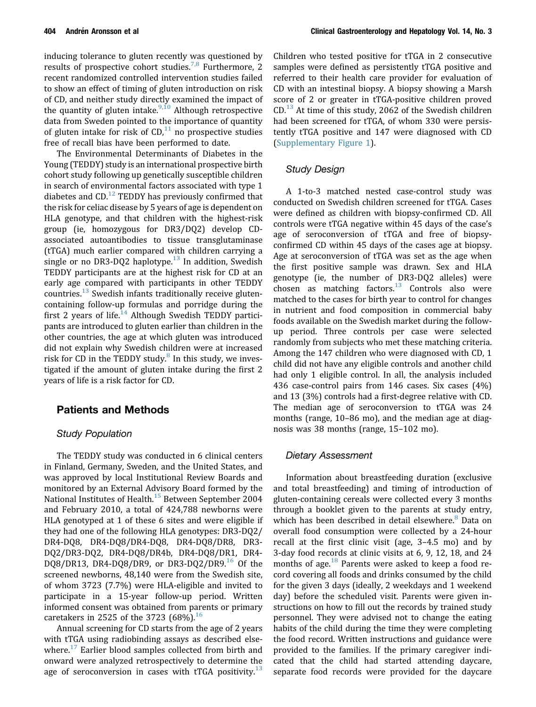inducing tolerance to gluten recently was questioned by results of prospective cohort studies.<sup>[7,8](#page-6-0)</sup> Furthermore, 2 recent randomized controlled intervention studies failed to show an effect of timing of gluten introduction on risk of CD, and neither study directly examined the impact of the quantity of gluten intake.<sup>[9,10](#page-6-0)</sup> Although retrospective data from Sweden pointed to the importance of quantity of gluten intake for risk of  $CD<sup>11</sup>$  $CD<sup>11</sup>$  $CD<sup>11</sup>$  no prospective studies free of recall bias have been performed to date.

The Environmental Determinants of Diabetes in the Young (TEDDY) study is an international prospective birth cohort study following up genetically susceptible children in search of environmental factors associated with type 1 diabetes and  $CD$ <sup>[12](#page-6-0)</sup> TEDDY has previously confirmed that the risk for celiac disease by 5 years of age is dependent on HLA genotype, and that children with the highest-risk group (ie, homozygous for DR3/DQ2) develop CDassociated autoantibodies to tissue transglutaminase (tTGA) much earlier compared with children carrying a single or no DR3-DQ2 haplotype.<sup>[13](#page-6-0)</sup> In addition, Swedish TEDDY participants are at the highest risk for CD at an early age compared with participants in other TEDDY countries.<sup>[13](#page-6-0)</sup> Swedish infants traditionally receive glutencontaining follow-up formulas and porridge during the first 2 years of life.<sup>[14](#page-6-0)</sup> Although Swedish TEDDY participants are introduced to gluten earlier than children in the other countries, the age at which gluten was introduced did not explain why Swedish children were at increased risk for CD in the TEDDY study. $8$  In this study, we investigated if the amount of gluten intake during the first 2 years of life is a risk factor for CD.

### Patients and Methods

#### Study Population

The TEDDY study was conducted in 6 clinical centers in Finland, Germany, Sweden, and the United States, and was approved by local Institutional Review Boards and monitored by an External Advisory Board formed by the National Institutes of Health.<sup>[15](#page-6-0)</sup> Between September 2004 and February 2010, a total of 424,788 newborns were HLA genotyped at 1 of these 6 sites and were eligible if they had one of the following HLA genotypes: DR3-DQ2/ DR4-DQ8, DR4-DQ8/DR4-DQ8, DR4-DQ8/DR8, DR3- DQ2/DR3-DQ2, DR4-DQ8/DR4b, DR4-DQ8/DR1, DR4- DQ8/DR13, DR4-DQ8/DR9, or DR3-DQ2/DR9.<sup>[16](#page-6-0)</sup> Of the screened newborns, 48,140 were from the Swedish site, of whom 3723 (7.7%) were HLA-eligible and invited to participate in a 15-year follow-up period. Written informed consent was obtained from parents or primary caretakers in 2525 of the 3723  $(68%)$ .<sup>[16](#page-6-0)</sup>

Annual screening for CD starts from the age of 2 years with tTGA using radiobinding assays as described elsewhere. $^{17}$  $^{17}$  $^{17}$  Earlier blood samples collected from birth and onward were analyzed retrospectively to determine the age of seroconversion in cases with tTGA positivity.<sup>[13](#page-6-0)</sup>

Children who tested positive for tTGA in 2 consecutive samples were defined as persistently tTGA positive and referred to their health care provider for evaluation of CD with an intestinal biopsy. A biopsy showing a Marsh score of 2 or greater in tTGA-positive children proved  $CD<sup>13</sup>$  $CD<sup>13</sup>$  $CD<sup>13</sup>$  At time of this study, 2062 of the Swedish children had been screened for tTGA, of whom 330 were persistently tTGA positive and 147 were diagnosed with CD ([Supplementary Figure 1\)](#page-9-0).

### Study Design

A 1-to-3 matched nested case-control study was conducted on Swedish children screened for tTGA. Cases were defined as children with biopsy-confirmed CD. All controls were tTGA negative within 45 days of the case's age of seroconversion of tTGA and free of biopsyconfirmed CD within 45 days of the cases age at biopsy. Age at seroconversion of tTGA was set as the age when the first positive sample was drawn. Sex and HLA genotype (ie, the number of DR3-DQ2 alleles) were chosen as matching factors.<sup>[13](#page-6-0)</sup> Controls also were matched to the cases for birth year to control for changes in nutrient and food composition in commercial baby foods available on the Swedish market during the followup period. Three controls per case were selected randomly from subjects who met these matching criteria. Among the 147 children who were diagnosed with CD, 1 child did not have any eligible controls and another child had only 1 eligible control. In all, the analysis included 436 case-control pairs from 146 cases. Six cases (4%) and 13 (3%) controls had a first-degree relative with CD. The median age of seroconversion to tTGA was 24 months (range, 10–86 mo), and the median age at diagnosis was 38 months (range, 15–102 mo).

#### Dietary Assessment

Information about breastfeeding duration (exclusive and total breastfeeding) and timing of introduction of gluten-containing cereals were collected every 3 months through a booklet given to the parents at study entry, which has been described in detail elsewhere.<sup>[8](#page-6-0)</sup> Data on overall food consumption were collected by a 24-hour recall at the first clinic visit (age, 3–4.5 mo) and by 3-day food records at clinic visits at 6, 9, 12, 18, and 24 months of age. $^{18}$  $^{18}$  $^{18}$  Parents were asked to keep a food record covering all foods and drinks consumed by the child for the given 3 days (ideally, 2 weekdays and 1 weekend day) before the scheduled visit. Parents were given instructions on how to fill out the records by trained study personnel. They were advised not to change the eating habits of the child during the time they were completing the food record. Written instructions and guidance were provided to the families. If the primary caregiver indicated that the child had started attending daycare, separate food records were provided for the daycare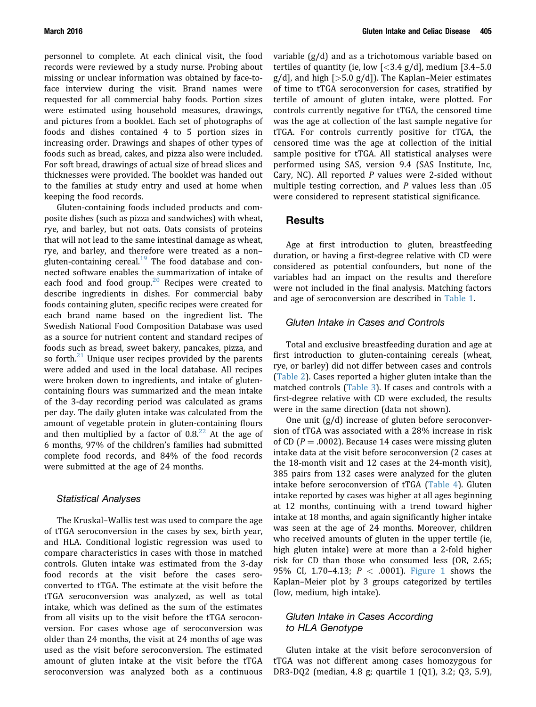personnel to complete. At each clinical visit, the food records were reviewed by a study nurse. Probing about missing or unclear information was obtained by face-toface interview during the visit. Brand names were requested for all commercial baby foods. Portion sizes were estimated using household measures, drawings, and pictures from a booklet. Each set of photographs of foods and dishes contained 4 to 5 portion sizes in increasing order. Drawings and shapes of other types of foods such as bread, cakes, and pizza also were included. For soft bread, drawings of actual size of bread slices and thicknesses were provided. The booklet was handed out to the families at study entry and used at home when keeping the food records.

Gluten-containing foods included products and composite dishes (such as pizza and sandwiches) with wheat, rye, and barley, but not oats. Oats consists of proteins that will not lead to the same intestinal damage as wheat, rye, and barley, and therefore were treated as a non– gluten-containing cereal.<sup>[19](#page-6-0)</sup> The food database and connected software enables the summarization of intake of each food and food group.<sup>[20](#page-6-0)</sup> Recipes were created to describe ingredients in dishes. For commercial baby foods containing gluten, specific recipes were created for each brand name based on the ingredient list. The Swedish National Food Composition Database was used as a source for nutrient content and standard recipes of foods such as bread, sweet bakery, pancakes, pizza, and so forth. $^{21}$  $^{21}$  $^{21}$  Unique user recipes provided by the parents were added and used in the local database. All recipes were broken down to ingredients, and intake of glutencontaining flours was summarized and the mean intake of the 3-day recording period was calculated as grams per day. The daily gluten intake was calculated from the amount of vegetable protein in gluten-containing flours and then multiplied by a factor of  $0.8<sup>22</sup>$  $0.8<sup>22</sup>$  $0.8<sup>22</sup>$  At the age of 6 months, 97% of the children's families had submitted complete food records, and 84% of the food records were submitted at the age of 24 months.

#### Statistical Analyses

The Kruskal–Wallis test was used to compare the age of tTGA seroconversion in the cases by sex, birth year, and HLA. Conditional logistic regression was used to compare characteristics in cases with those in matched controls. Gluten intake was estimated from the 3-day food records at the visit before the cases seroconverted to tTGA. The estimate at the visit before the tTGA seroconversion was analyzed, as well as total intake, which was defined as the sum of the estimates from all visits up to the visit before the tTGA seroconversion. For cases whose age of seroconversion was older than 24 months, the visit at 24 months of age was used as the visit before seroconversion. The estimated amount of gluten intake at the visit before the tTGA seroconversion was analyzed both as a continuous variable (g/d) and as a trichotomous variable based on tertiles of quantity (ie, low  $\left[ < \frac{3.4 \text{ g}}{d} \right]$ , medium  $\left[ 3.4 - 5.0 \right]$  $g/d$ , and high [ $>5.0$   $g/d$ ]). The Kaplan–Meier estimates of time to tTGA seroconversion for cases, stratified by tertile of amount of gluten intake, were plotted. For controls currently negative for tTGA, the censored time was the age at collection of the last sample negative for tTGA. For controls currently positive for tTGA, the censored time was the age at collection of the initial sample positive for tTGA. All statistical analyses were performed using SAS, version 9.4 (SAS Institute, Inc, Cary, NC). All reported  $P$  values were 2-sided without multiple testing correction, and P values less than .05 were considered to represent statistical significance.

#### Results

Age at first introduction to gluten, breastfeeding duration, or having a first-degree relative with CD were considered as potential confounders, but none of the variables had an impact on the results and therefore were not included in the final analysis. Matching factors and age of seroconversion are described in [Table 1.](#page-3-0)

#### Gluten Intake in Cases and Controls

Total and exclusive breastfeeding duration and age at first introduction to gluten-containing cereals (wheat, rye, or barley) did not differ between cases and controls ([Table 2\)](#page-3-0). Cases reported a higher gluten intake than the matched controls [\(Table 3\)](#page-4-0). If cases and controls with a first-degree relative with CD were excluded, the results were in the same direction (data not shown).

One unit (g/d) increase of gluten before seroconversion of tTGA was associated with a 28% increase in risk of CD ( $P = .0002$ ). Because 14 cases were missing gluten intake data at the visit before seroconversion (2 cases at the 18-month visit and 12 cases at the 24-month visit), 385 pairs from 132 cases were analyzed for the gluten intake before seroconversion of tTGA ([Table 4\)](#page-4-0). Gluten intake reported by cases was higher at all ages beginning at 12 months, continuing with a trend toward higher intake at 18 months, and again significantly higher intake was seen at the age of 24 months. Moreover, children who received amounts of gluten in the upper tertile (ie, high gluten intake) were at more than a 2-fold higher risk for CD than those who consumed less (OR, 2.65; 95% CI, 1.70–4.13;  $P < .0001$ ). [Figure 1](#page-5-0) shows the Kaplan–Meier plot by 3 groups categorized by tertiles (low, medium, high intake).

### Gluten Intake in Cases According to HLA Genotype

Gluten intake at the visit before seroconversion of tTGA was not different among cases homozygous for DR3-DQ2 (median, 4.8 g; quartile 1 (Q1), 3.2; Q3, 5.9),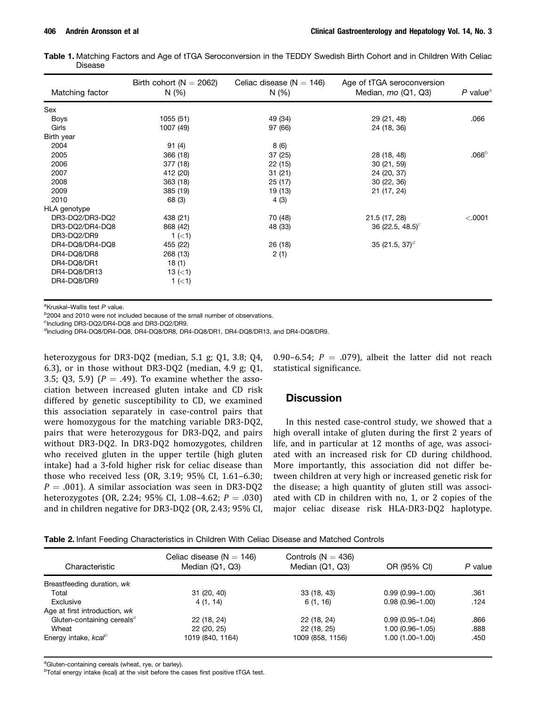<span id="page-3-0"></span>

| Table 1. Matching Factors and Age of tTGA Seroconversion in the TEDDY Swedish Birth Cohort and in Children With Celiac |  |  |  |  |  |  |
|------------------------------------------------------------------------------------------------------------------------|--|--|--|--|--|--|
| Disease                                                                                                                |  |  |  |  |  |  |

| Matching factor | Birth cohort ( $N = 2062$ )<br>N(%) | Celiac disease ( $N = 146$ )<br>N(% | Age of tTGA seroconversion<br>Median, $mo$ (Q1, Q3) | $P$ value <sup>a</sup> |
|-----------------|-------------------------------------|-------------------------------------|-----------------------------------------------------|------------------------|
| Sex             |                                     |                                     |                                                     |                        |
| <b>Boys</b>     | 1055 (51)                           | 49 (34)                             | 29 (21, 48)                                         | .066                   |
| Girls           | 1007 (49)                           | 97 (66)                             | 24 (18, 36)                                         |                        |
| Birth year      |                                     |                                     |                                                     |                        |
| 2004            | 91(4)                               | 8 (6)                               |                                                     |                        |
| 2005            | 366 (18)                            | 37(25)                              | 28 (18, 48)                                         | .066 <sup>b</sup>      |
| 2006            | 377 (18)                            | 22(15)                              | 30(21, 59)                                          |                        |
| 2007            | 412 (20)                            | 31(21)                              | 24 (20, 37)                                         |                        |
| 2008            | 363 (18)                            | 25(17)                              | 30(22, 36)                                          |                        |
| 2009            | 385 (19)                            | 19 (13)                             | 21 (17, 24)                                         |                        |
| 2010            | 68 (3)                              | 4 (3)                               |                                                     |                        |
| HLA genotype    |                                     |                                     |                                                     |                        |
| DR3-DQ2/DR3-DQ2 | 438 (21)                            | 70 (48)                             | 21.5 (17, 28)                                       | < .0001                |
| DR3-DQ2/DR4-DQ8 | 868 (42)                            | 48 (33)                             | 36 (22.5, 48.5) <sup>c</sup>                        |                        |
| DR3-DQ2/DR9     | 1 $(<1)$                            |                                     |                                                     |                        |
| DR4-DQ8/DR4-DQ8 | 455 (22)                            | 26 (18)                             | 35 (21.5, 37) <sup>d</sup>                          |                        |
| DR4-DQ8/DR8     | 268 (13)                            | 2(1)                                |                                                     |                        |
| DR4-DQ8/DR1     | 18(1)                               |                                     |                                                     |                        |
| DR4-DQ8/DR13    | 13 $(1)$                            |                                     |                                                     |                        |
| DR4-DQ8/DR9     | 1 $(<1)$                            |                                     |                                                     |                        |

<sup>a</sup>Kruskal-Wallis test P value.

<sup>b</sup>2004 and 2010 were not included because of the small number of observations.

c Including DR3-DQ2/DR4-DQ8 and DR3-DQ2/DR9.

<sup>d</sup>Including DR4-DQ8/DR4-DQ8, DR4-DQ8/DR8, DR4-DQ8/DR1, DR4-DQ8/DR13, and DR4-DQ8/DR9.

heterozygous for DR3-DQ2 (median, 5.1 g; Q1, 3.8; Q4, 6.3), or in those without DR3-DQ2 (median, 4.9 g; Q1, 3.5; Q3, 5.9) ( $P = .49$ ). To examine whether the association between increased gluten intake and CD risk differed by genetic susceptibility to CD, we examined this association separately in case-control pairs that were homozygous for the matching variable DR3-DQ2, pairs that were heterozygous for DR3-DQ2, and pairs without DR3-DQ2. In DR3-DQ2 homozygotes, children who received gluten in the upper tertile (high gluten intake) had a 3-fold higher risk for celiac disease than those who received less (OR, 3.19; 95% CI, 1.61–6.30;  $P = .001$ ). A similar association was seen in DR3-DQ2 heterozygotes (OR, 2.24; 95% CI, 1.08-4.62;  $P = .030$ ) and in children negative for DR3-DQ2 (OR, 2.43; 95% CI,

0.90–6.54;  $P = .079$ ), albeit the latter did not reach statistical significance.

### **Discussion**

In this nested case-control study, we showed that a high overall intake of gluten during the first 2 years of life, and in particular at 12 months of age, was associated with an increased risk for CD during childhood. More importantly, this association did not differ between children at very high or increased genetic risk for the disease; a high quantity of gluten still was associated with CD in children with no, 1, or 2 copies of the major celiac disease risk HLA-DR3-DQ2 haplotype.

| <b>Table 2.</b> Infant Feeding Characteristics in Children With Celiac Disease and Matched Controls |  |
|-----------------------------------------------------------------------------------------------------|--|
|-----------------------------------------------------------------------------------------------------|--|

| Characteristic                         | Celiac disease ( $N = 146$ )<br>Median (Q1, Q3) | Controls ( $N = 436$ )<br>Median (Q1, Q3) | OR (95% CI)         | P value |
|----------------------------------------|-------------------------------------------------|-------------------------------------------|---------------------|---------|
| Breastfeeding duration, wk             |                                                 |                                           |                     |         |
| Total                                  | 31(20, 40)                                      | 33(18, 43)                                | $0.99(0.99 - 1.00)$ | .361    |
| Exclusive                              | 4 (1, 14)                                       | 6(1, 16)                                  | $0.98(0.96 - 1.00)$ | .124    |
| Age at first introduction, wk          |                                                 |                                           |                     |         |
| Gluten-containing cereals <sup>a</sup> | 22 (18, 24)                                     | 22 (18, 24)                               | $0.99(0.95 - 1.04)$ | .866    |
| Wheat                                  | 22 (20, 25)                                     | 22 (18, 25)                               | 1.00 (0.96-1.05)    | .888    |
| Energy intake, kcal <sup>b</sup>       | 1019 (840, 1164)                                | 1009 (858, 1156)                          | 1.00 (1.00-1.00)    | .450    |

<sup>a</sup>Gluten-containing cereals (wheat, rye, or barley).

 $b$ Total energy intake (kcal) at the visit before the cases first positive tTGA test.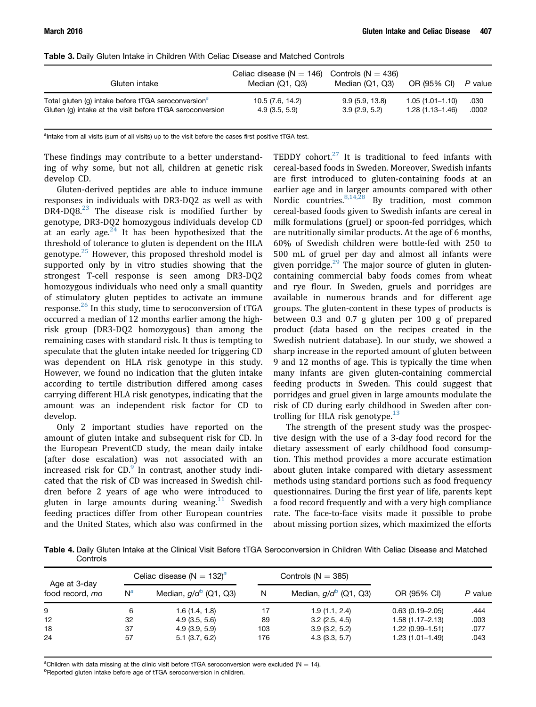| Gluten intake                                                   | Celiac disease ( $N = 146$ ) Controls ( $N = 436$ )<br>Median (Q1, Q3) | Median (Q1, Q3) | OR (95% CI)         | P value |
|-----------------------------------------------------------------|------------------------------------------------------------------------|-----------------|---------------------|---------|
| Total gluten (g) intake before tTGA seroconversion <sup>a</sup> | 10.5 (7.6, 14.2)                                                       | 9.9(5.9, 13.8)  | $1.05(1.01 - 1.10)$ | .030    |
| Gluten (g) intake at the visit before tTGA seroconversion       | 4.9(3.5, 5.9)                                                          | 3.9(2.9, 5.2)   | $1.28(1.13 - 1.46)$ | .0002   |

<span id="page-4-0"></span>Table 3. Daily Gluten Intake in Children With Celiac Disease and Matched Controls

<sup>a</sup>Intake from all visits (sum of all visits) up to the visit before the cases first positive tTGA test.

These findings may contribute to a better understanding of why some, but not all, children at genetic risk develop CD.

Gluten-derived peptides are able to induce immune responses in individuals with DR3-DQ2 as well as with DR4-DQ8. $^{23}$  $^{23}$  $^{23}$  The disease risk is modified further by genotype, DR3-DQ2 homozygous individuals develop CD at an early age.<sup>[24](#page-6-0)</sup> It has been hypothesized that the threshold of tolerance to gluten is dependent on the HLA genotype. $25$  However, this proposed threshold model is supported only by in vitro studies showing that the strongest T-cell response is seen among DR3-DQ2 homozygous individuals who need only a small quantity of stimulatory gluten peptides to activate an immune response. $^{26}$  $^{26}$  $^{26}$  In this study, time to seroconversion of tTGA occurred a median of 12 months earlier among the highrisk group (DR3-DQ2 homozygous) than among the remaining cases with standard risk. It thus is tempting to speculate that the gluten intake needed for triggering CD was dependent on HLA risk genotype in this study. However, we found no indication that the gluten intake according to tertile distribution differed among cases carrying different HLA risk genotypes, indicating that the amount was an independent risk factor for CD to develop.

Only 2 important studies have reported on the amount of gluten intake and subsequent risk for CD. In the European PreventCD study, the mean daily intake (after dose escalation) was not associated with an increased risk for  $CD$ . In contrast, another study indicated that the risk of CD was increased in Swedish children before 2 years of age who were introduced to gluten in large amounts during weaning.<sup>[11](#page-6-0)</sup> Swedish feeding practices differ from other European countries and the United States, which also was confirmed in the TEDDY cohort. $27$  It is traditional to feed infants with cereal-based foods in Sweden. Moreover, Swedish infants are first introduced to gluten-containing foods at an earlier age and in larger amounts compared with other Nordic countries.  $8,14,28$  By tradition, most common cereal-based foods given to Swedish infants are cereal in milk formulations (gruel) or spoon-fed porridges, which are nutritionally similar products. At the age of 6 months, 60% of Swedish children were bottle-fed with 250 to 500 mL of gruel per day and almost all infants were given porridge. $29$  The major source of gluten in glutencontaining commercial baby foods comes from wheat and rye flour. In Sweden, gruels and porridges are available in numerous brands and for different age groups. The gluten-content in these types of products is between 0.3 and 0.7 g gluten per 100 g of prepared product (data based on the recipes created in the Swedish nutrient database). In our study, we showed a sharp increase in the reported amount of gluten between 9 and 12 months of age. This is typically the time when many infants are given gluten-containing commercial feeding products in Sweden. This could suggest that porridges and gruel given in large amounts modulate the risk of CD during early childhood in Sweden after controlling for HLA risk genotype. $^{13}$  $^{13}$  $^{13}$ 

The strength of the present study was the prospective design with the use of a 3-day food record for the dietary assessment of early childhood food consumption. This method provides a more accurate estimation about gluten intake compared with dietary assessment methods using standard portions such as food frequency questionnaires. During the first year of life, parents kept a food record frequently and with a very high compliance rate. The face-to-face visits made it possible to probe about missing portion sizes, which maximized the efforts

Table 4. Daily Gluten Intake at the Clinical Visit Before tTGA Seroconversion in Children With Celiac Disease and Matched **Controls** 

| Age at 3-day<br>food record, mo |       | Celiac disease ( $N = 132$ ) <sup>a</sup> |     | Controls $(N = 385)$     |                     | P value |
|---------------------------------|-------|-------------------------------------------|-----|--------------------------|---------------------|---------|
|                                 | $N^a$ | Median, $g/d^b$ (Q1, Q3)                  | N   | Median, $g/d^b$ (Q1, Q3) | OR (95% CI)         |         |
| 9                               | 6     | 1.6(1.4, 1.8)                             | 17  | 1.9(1.1, 2.4)            | $0.63(0.19 - 2.05)$ | .444    |
| 12                              | 32    | 4.9(3.5, 5.6)                             | 89  | 3.2(2.5, 4.5)            | $1.58(1.17 - 2.13)$ | .003    |
| 18                              | 37    | 4.9(3.9, 5.9)                             | 103 | 3.9(3.2, 5.2)            | $1.22(0.99-1.51)$   | .077    |
| 24                              | 57    | 5.1(3.7, 6.2)                             | 176 | 4.3(3.3, 5.7)            | $1.23(1.01-1.49)$   | .043    |

<sup>a</sup>Children with data missing at the clinic visit before tTGA seroconversion were excluded (N = 14).<br><sup>b</sup>Poperted cluten inteke before age of tTGA expressions in children.

 $<sup>b</sup>$ Reported gluten intake before age of tTGA seroconversion in children.</sup>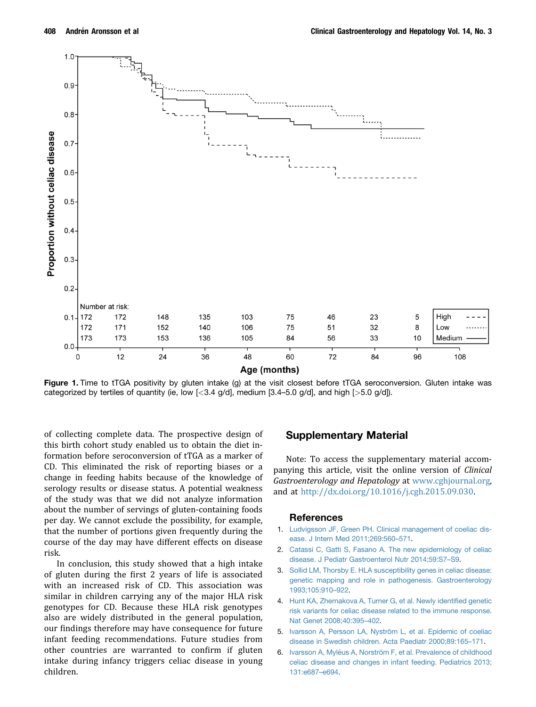<span id="page-5-0"></span>

Figure 1. Time to tTGA positivity by gluten intake (g) at the visit closest before tTGA seroconversion. Gluten intake was categorized by tertiles of quantity (ie, low  $\lfloor$ <3.4 g/d], medium  $\lfloor$ 3.4–5.0 g/d], and high  $\lfloor$ >5.0 g/d]).

of collecting complete data. The prospective design of this birth cohort study enabled us to obtain the diet information before seroconversion of tTGA as a marker of CD. This eliminated the risk of reporting biases or a change in feeding habits because of the knowledge of serology results or disease status. A potential weakness of the study was that we did not analyze information about the number of servings of gluten-containing foods per day. We cannot exclude the possibility, for example, that the number of portions given frequently during the course of the day may have different effects on disease risk.

In conclusion, this study showed that a high intake of gluten during the first 2 years of life is associated with an increased risk of CD. This association was similar in children carrying any of the major HLA risk genotypes for CD. Because these HLA risk genotypes also are widely distributed in the general population, our findings therefore may have consequence for future infant feeding recommendations. Future studies from other countries are warranted to confirm if gluten intake during infancy triggers celiac disease in young children.

### Supplementary Material

Note: To access the supplementary material accompanying this article, visit the online version of Clinical Gastroenterology and Hepatology at [www.cghjournal.org](http://www.cghjournal.org), and at [http://dx.doi.org/10.1016/j.cgh.2015.09.030.](http://dx.doi.org/10.1016/j.cgh.2015.09.030)

#### References

- 1. [Ludvigsson JF, Green PH. Clinical management of coeliac dis](http://refhub.elsevier.com/S1542-3565(15)01332-4/sref1)[ease. J Intern Med 2011;269:560](http://refhub.elsevier.com/S1542-3565(15)01332-4/sref1)–[571](http://refhub.elsevier.com/S1542-3565(15)01332-4/sref1).
- 2. [Catassi C, Gatti S, Fasano A. The new epidemiology of celiac](http://refhub.elsevier.com/S1542-3565(15)01332-4/sref2) [disease. J Pediatr Gastroenterol Nutr 2014;59:S7](http://refhub.elsevier.com/S1542-3565(15)01332-4/sref2)–[S9.](http://refhub.elsevier.com/S1542-3565(15)01332-4/sref2)
- 3. [Sollid LM, Thorsby E. HLA susceptibility genes in celiac disease:](http://refhub.elsevier.com/S1542-3565(15)01332-4/sref3) [genetic mapping and role in pathogenesis. Gastroenterology](http://refhub.elsevier.com/S1542-3565(15)01332-4/sref3) [1993;105:910](http://refhub.elsevier.com/S1542-3565(15)01332-4/sref3)–[922](http://refhub.elsevier.com/S1542-3565(15)01332-4/sref3).
- 4. [Hunt KA, Zhernakova A, Turner G, et al. Newly identi](http://refhub.elsevier.com/S1542-3565(15)01332-4/sref4)fied genetic [risk variants for celiac disease related to the immune response.](http://refhub.elsevier.com/S1542-3565(15)01332-4/sref4) [Nat Genet 2008;40:395](http://refhub.elsevier.com/S1542-3565(15)01332-4/sref4)–[402.](http://refhub.elsevier.com/S1542-3565(15)01332-4/sref4)
- 5. [Ivarsson A, Persson LA, Nyström L, et al. Epidemic of coeliac](http://refhub.elsevier.com/S1542-3565(15)01332-4/sref5) [disease in Swedish children. Acta Paediatr 2000;89:165](http://refhub.elsevier.com/S1542-3565(15)01332-4/sref5)–[171](http://refhub.elsevier.com/S1542-3565(15)01332-4/sref5).
- 6. [Ivarsson A, Myléus A, Norström F, et al. Prevalence of childhood](http://refhub.elsevier.com/S1542-3565(15)01332-4/sref6) [celiac disease and changes in infant feeding. Pediatrics 2013;](http://refhub.elsevier.com/S1542-3565(15)01332-4/sref6) [131:e687](http://refhub.elsevier.com/S1542-3565(15)01332-4/sref6)–[e694.](http://refhub.elsevier.com/S1542-3565(15)01332-4/sref6)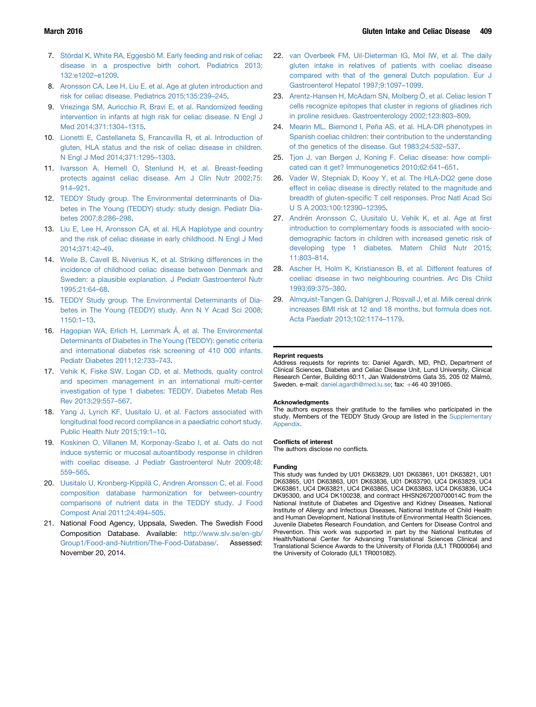- <span id="page-6-0"></span>7. [Stördal K, White RA, Eggesbö M. Early feeding and risk of celiac](http://refhub.elsevier.com/S1542-3565(15)01332-4/sref7) [disease in a prospective birth cohort. Pediatrics 2013;](http://refhub.elsevier.com/S1542-3565(15)01332-4/sref7) [132:e1202](http://refhub.elsevier.com/S1542-3565(15)01332-4/sref7)–[e1209.](http://refhub.elsevier.com/S1542-3565(15)01332-4/sref7)
- 8. [Aronsson CA, Lee H, Liu E, et al. Age at gluten introduction and](http://refhub.elsevier.com/S1542-3565(15)01332-4/sref8) [risk for celiac disease. Pediatrics 2015;135:239](http://refhub.elsevier.com/S1542-3565(15)01332-4/sref8)–[245.](http://refhub.elsevier.com/S1542-3565(15)01332-4/sref8)
- 9. [Vriezinga SM, Auricchio R, Bravi E, et al. Randomized feeding](http://refhub.elsevier.com/S1542-3565(15)01332-4/sref9) [intervention in infants at high risk for celiac disease. N Engl J](http://refhub.elsevier.com/S1542-3565(15)01332-4/sref9) [Med 2014;371:1304](http://refhub.elsevier.com/S1542-3565(15)01332-4/sref9)–[1315](http://refhub.elsevier.com/S1542-3565(15)01332-4/sref9).
- 10. [Lionetti E, Castellaneta S, Francavilla R, et al. Introduction of](http://refhub.elsevier.com/S1542-3565(15)01332-4/sref10) [gluten, HLA status and the risk of celiac disease in children.](http://refhub.elsevier.com/S1542-3565(15)01332-4/sref10) [N Engl J Med 2014;371:1295](http://refhub.elsevier.com/S1542-3565(15)01332-4/sref10)–[1303](http://refhub.elsevier.com/S1542-3565(15)01332-4/sref10).
- 11. [Ivarsson A, Hernell O, Stenlund H, et al. Breast-feeding](http://refhub.elsevier.com/S1542-3565(15)01332-4/sref11) [protects against celiac disease. Am J Clin Nutr 2002;75:](http://refhub.elsevier.com/S1542-3565(15)01332-4/sref11) [914](http://refhub.elsevier.com/S1542-3565(15)01332-4/sref11)–[921.](http://refhub.elsevier.com/S1542-3565(15)01332-4/sref11)
- 12. [TEDDY Study group. The Environmental determinants of Dia](http://refhub.elsevier.com/S1542-3565(15)01332-4/sref12)[betes in The Young \(TEDDY\) study: study design. Pediatr Dia](http://refhub.elsevier.com/S1542-3565(15)01332-4/sref12)[betes 2007;8:286](http://refhub.elsevier.com/S1542-3565(15)01332-4/sref12)–[298.](http://refhub.elsevier.com/S1542-3565(15)01332-4/sref12)
- 13. [Liu E, Lee H, Aronsson CA, et al. HLA Haplotype and country](http://refhub.elsevier.com/S1542-3565(15)01332-4/sref13) [and the risk of celiac disease in early childhood. N Engl J Med](http://refhub.elsevier.com/S1542-3565(15)01332-4/sref13) [2014;371:42](http://refhub.elsevier.com/S1542-3565(15)01332-4/sref13)–[49](http://refhub.elsevier.com/S1542-3565(15)01332-4/sref13).
- 14. [Weile B, Cavell B, Nivenius K, et al. Striking differences in the](http://refhub.elsevier.com/S1542-3565(15)01332-4/sref14) [incidence of childhood celiac disease between Denmark and](http://refhub.elsevier.com/S1542-3565(15)01332-4/sref14) [Sweden: a plausible explanation. J Pediatr Gastroenterol Nutr](http://refhub.elsevier.com/S1542-3565(15)01332-4/sref14) [1995;21:64](http://refhub.elsevier.com/S1542-3565(15)01332-4/sref14)–[68.](http://refhub.elsevier.com/S1542-3565(15)01332-4/sref14)
- 15. [TEDDY Study group. The Environmental Determinants of Dia](http://refhub.elsevier.com/S1542-3565(15)01332-4/sref15)[betes in The Young \(TEDDY\) study. Ann N Y Acad Sci 2008;](http://refhub.elsevier.com/S1542-3565(15)01332-4/sref15) [1150:1](http://refhub.elsevier.com/S1542-3565(15)01332-4/sref15)–[13.](http://refhub.elsevier.com/S1542-3565(15)01332-4/sref15)
- 16. [Hagopian WA, Erlich H, Lernmark Å, et al. The Environmental](http://refhub.elsevier.com/S1542-3565(15)01332-4/sref16) [Determinants of Diabetes in The Young \(TEDDY\): genetic criteria](http://refhub.elsevier.com/S1542-3565(15)01332-4/sref16) [and international diabetes risk screening of 410 000 infants.](http://refhub.elsevier.com/S1542-3565(15)01332-4/sref16) [Pediatr Diabetes 2011;12:733](http://refhub.elsevier.com/S1542-3565(15)01332-4/sref16)–[743](http://refhub.elsevier.com/S1542-3565(15)01332-4/sref16).
- 17. [Vehik K, Fiske SW, Logan CD, et al. Methods, quality control](http://refhub.elsevier.com/S1542-3565(15)01332-4/sref17) [and specimen management in an international multi-center](http://refhub.elsevier.com/S1542-3565(15)01332-4/sref17) [investigation of type 1 diabetes: TEDDY. Diabetes Metab Res](http://refhub.elsevier.com/S1542-3565(15)01332-4/sref17) [Rev 2013;29:557](http://refhub.elsevier.com/S1542-3565(15)01332-4/sref17)–[567.](http://refhub.elsevier.com/S1542-3565(15)01332-4/sref17)
- 18. [Yang J, Lynch KF, Uusitalo U, et al. Factors associated with](http://refhub.elsevier.com/S1542-3565(15)01332-4/sref18) [longitudinal food record compliance in a paediatric cohort study.](http://refhub.elsevier.com/S1542-3565(15)01332-4/sref18) [Public Health Nutr 2015;19:1](http://refhub.elsevier.com/S1542-3565(15)01332-4/sref18)–[10](http://refhub.elsevier.com/S1542-3565(15)01332-4/sref18).
- 19. [Koskinen O, Villanen M, Korponay-Szabo I, et al. Oats do not](http://refhub.elsevier.com/S1542-3565(15)01332-4/sref19) [induce systemic or mucosal autoantibody response in children](http://refhub.elsevier.com/S1542-3565(15)01332-4/sref19) [with coeliac disease. J Pediatr Gastroenterol Nutr 2009;48:](http://refhub.elsevier.com/S1542-3565(15)01332-4/sref19) [559](http://refhub.elsevier.com/S1542-3565(15)01332-4/sref19)–[565](http://refhub.elsevier.com/S1542-3565(15)01332-4/sref19).
- 20. [Uusitalo U, Kronberg-Kippilä C, Andren Aronsson C, et al. Food](http://refhub.elsevier.com/S1542-3565(15)01332-4/sref20) [composition database harmonization for between-country](http://refhub.elsevier.com/S1542-3565(15)01332-4/sref20) [comparisons of nutrient data in the TEDDY study. J Food](http://refhub.elsevier.com/S1542-3565(15)01332-4/sref20) [Compost Anal 2011;24:494](http://refhub.elsevier.com/S1542-3565(15)01332-4/sref20)–[505](http://refhub.elsevier.com/S1542-3565(15)01332-4/sref20).
- 21. National Food Agency, Uppsala, Sweden. The Swedish Food Composition Database. Available: [http://www.slv.se/en-gb/](http://www.slv.se/en-gb/Group1/Food-and-Nutrition/The-Food-Database/) [Group1/Food-and-Nutrition/The-Food-Database/.](http://www.slv.se/en-gb/Group1/Food-and-Nutrition/The-Food-Database/) Assessed: November 20, 2014.
- 22. [van Overbeek FM, Uil-Dieterman IG, Mol IW, et al. The daily](http://refhub.elsevier.com/S1542-3565(15)01332-4/sref22) [gluten intake in relatives of patients with coeliac disease](http://refhub.elsevier.com/S1542-3565(15)01332-4/sref22) [compared with that of the general Dutch population. Eur J](http://refhub.elsevier.com/S1542-3565(15)01332-4/sref22) [Gastroenterol Hepatol 1997;9:1097](http://refhub.elsevier.com/S1542-3565(15)01332-4/sref22)–[1099.](http://refhub.elsevier.com/S1542-3565(15)01332-4/sref22)
- 23. [Arentz-Hansen H, McAdam SN, Molberg Ö, et al. Celiac lesion T](http://refhub.elsevier.com/S1542-3565(15)01332-4/sref23) [cells recognize epitopes that cluster in regions of gliadines rich](http://refhub.elsevier.com/S1542-3565(15)01332-4/sref23) [in proline residues. Gastroenterology 2002;123:803](http://refhub.elsevier.com/S1542-3565(15)01332-4/sref23)–[809.](http://refhub.elsevier.com/S1542-3565(15)01332-4/sref23)
- 24. [Mearin ML, Biemond I, Peña AS, et al. HLA-DR phenotypes in](http://refhub.elsevier.com/S1542-3565(15)01332-4/sref24) [Spanish coeliac children: their contribution to the understanding](http://refhub.elsevier.com/S1542-3565(15)01332-4/sref24) [of the genetics of the disease. Gut 1983;24:532](http://refhub.elsevier.com/S1542-3565(15)01332-4/sref24)–[537.](http://refhub.elsevier.com/S1542-3565(15)01332-4/sref24)
- 25. [Tjon J, van Bergen J, Koning F. Celiac disease: how compli](http://refhub.elsevier.com/S1542-3565(15)01332-4/sref25)[cated can it get? Immunogenetics 2010;62:641](http://refhub.elsevier.com/S1542-3565(15)01332-4/sref25)–[651.](http://refhub.elsevier.com/S1542-3565(15)01332-4/sref25)
- 26. [Vader W, Stepniak D, Kooy Y, et al. The HLA-DQ2 gene dose](http://refhub.elsevier.com/S1542-3565(15)01332-4/sref26) [effect in celiac disease is directly related to the magnitude and](http://refhub.elsevier.com/S1542-3565(15)01332-4/sref26) breadth of gluten-specifi[c T cell responses. Proc Natl Acad Sci](http://refhub.elsevier.com/S1542-3565(15)01332-4/sref26) [U S A 2003;100:12390](http://refhub.elsevier.com/S1542-3565(15)01332-4/sref26)–[12395.](http://refhub.elsevier.com/S1542-3565(15)01332-4/sref26)
- 27. [Andrén Aronsson C, Uusitalo U, Vehik K, et al. Age at](http://refhub.elsevier.com/S1542-3565(15)01332-4/sref27) first [introduction to complementary foods is associated with socio](http://refhub.elsevier.com/S1542-3565(15)01332-4/sref27)[demographic factors in children with increased genetic risk of](http://refhub.elsevier.com/S1542-3565(15)01332-4/sref27) [developing type 1 diabetes. Matern Child Nutr 2015;](http://refhub.elsevier.com/S1542-3565(15)01332-4/sref27) [11:803](http://refhub.elsevier.com/S1542-3565(15)01332-4/sref27)–[814](http://refhub.elsevier.com/S1542-3565(15)01332-4/sref27).
- 28. [Ascher H, Holm K, Kristiansson B, et al. Different features of](http://refhub.elsevier.com/S1542-3565(15)01332-4/sref28) [coeliac disease in two neighbouring countries. Arc Dis Child](http://refhub.elsevier.com/S1542-3565(15)01332-4/sref28) [1993;69:375](http://refhub.elsevier.com/S1542-3565(15)01332-4/sref28)–[380.](http://refhub.elsevier.com/S1542-3565(15)01332-4/sref28)
- 29. [Almquist-Tangen G, Dahlgren J, Rosvall J, et al. Milk cereal drink](http://refhub.elsevier.com/S1542-3565(15)01332-4/sref29) [increases BMI risk at 12 and 18 months, but formula does not.](http://refhub.elsevier.com/S1542-3565(15)01332-4/sref29) [Acta Paediatr 2013;102:1174](http://refhub.elsevier.com/S1542-3565(15)01332-4/sref29)–[1179.](http://refhub.elsevier.com/S1542-3565(15)01332-4/sref29)

#### Reprint requests

Address requests for reprints to: Daniel Agardh, MD, PhD, Department of Clinical Sciences, Diabetes and Celiac Disease Unit, Lund University, Clinical Research Center, Building 60:11, Jan Waldenströms Gata 35, 205 02 Malmö, Sweden. e-mail: [daniel.agardh@med.lu.se](mailto:daniel.agardh@med.lu.se); fax: +46 40 391065.

#### Acknowledgments

The authors express their gratitude to the families who participated in the study. Members of the TEDDY Study Group are listed in the [Supplementary](#page-7-0) [Appendix](#page-7-0).

#### Conflicts of interest

The authors disclose no conflicts.

#### Funding

This study was funded by U01 DK63829, U01 DK63861, U01 DK63821, U01 DK63865, U01 DK63863, U01 DK63836, U01 DK63790, UC4 DK63829, UC4 DK63861, UC4 DK63821, UC4 DK63865, UC4 DK63863, UC4 DK63836, UC4 DK95300, and UC4 DK100238, and contract HHSN267200700014C from the National Institute of Diabetes and Digestive and Kidney Diseases, National Institute of Allergy and Infectious Diseases, National Institute of Child Health and Human Development, National Institute of Environmental Health Sciences, Juvenile Diabetes Research Foundation, and Centers for Disease Control and Prevention. This work was supported in part by the National Institutes of Health/National Center for Advancing Translational Sciences Clinical and Translational Science Awards to the University of Florida (UL1 TR000064) and the University of Colorado (UL1 TR001082).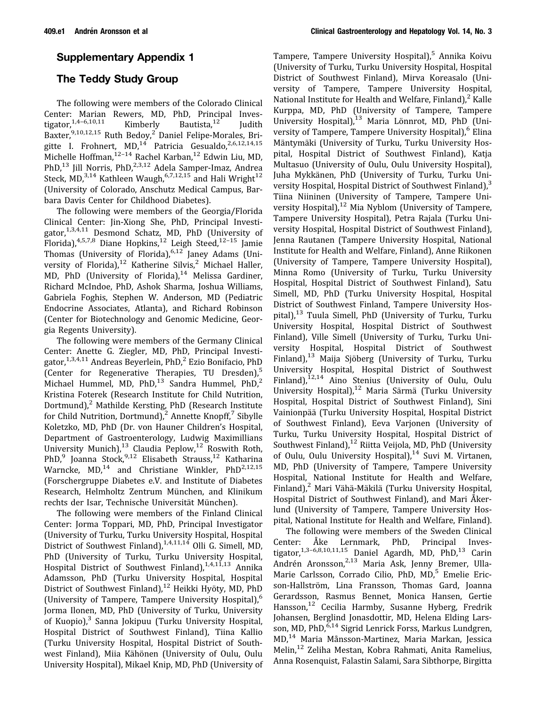## <span id="page-7-0"></span>Supplementary Appendix 1

# The Teddy Study Group

The following were members of the Colorado Clinical Center: Marian Rewers, MD, PhD, Principal Inves-<br>tigator,<sup>1,4-6,10,11</sup> Kimberly Bautista,<sup>12</sup> Judith tigator,<sup>1,4–6,10,11</sup> Kimberly Bautista,<sup>12</sup> Judith Baxter, <sup>9,10,12,15</sup> Ruth Bedoy,<sup>2</sup> Daniel Felipe-Morales, Brigitte I. Frohnert, MD,<sup>14</sup> Patricia Gesualdo, 2,6,12,14,15 Michelle Hoffman, 12-14 Rachel Karban, <sup>12</sup> Edwin Liu, MD, PhD, $^{13}$  Jill Norris, PhD, $^{2,3,12}$  Adela Samper-Imaz, Andrea Steck, MD,<sup>3,14</sup> Kathleen Waugh,<sup>6,7,12,15</sup> and Hali Wright<sup>12</sup> (University of Colorado, Anschutz Medical Campus, Barbara Davis Center for Childhood Diabetes).

The following were members of the Georgia/Florida Clinical Center: Jin-Xiong She, PhD, Principal Investigator, $1,3,4,11$  Desmond Schatz, MD, PhD (University of Florida), $4,5,7,8$  Diane Hopkins, $12$  Leigh Steed, $12-15$  Jamie Thomas (University of Florida),<sup>6,12</sup> Janey Adams (University of Florida),<sup>12</sup> Katherine Silvis,<sup>2</sup> Michael Haller, MD, PhD (University of Florida), $14$  Melissa Gardiner, Richard McIndoe, PhD, Ashok Sharma, Joshua Williams, Gabriela Foghis, Stephen W. Anderson, MD (Pediatric Endocrine Associates, Atlanta), and Richard Robinson (Center for Biotechnology and Genomic Medicine, Georgia Regents University).

The following were members of the Germany Clinical Center: Anette G. Ziegler, MD, PhD, Principal Investigator,  $1,3,4,11$  Andreas Beyerlein, PhD,<sup>2</sup> Ezio Bonifacio, PhD (Center for Regenerative Therapies, TU Dresden),<sup>5</sup> Michael Hummel, MD, PhD, $^{13}$  Sandra Hummel, PhD, $^{2}$ Kristina Foterek (Research Institute for Child Nutrition, Dortmund), $2$  Mathilde Kersting, PhD (Research Institute for Child Nutrition, Dortmund),<sup>2</sup> Annette Knopff,<sup>7</sup> Sibylle Koletzko, MD, PhD (Dr. von Hauner Children's Hospital, Department of Gastroenterology, Ludwig Maximillians University Munich), $^{13}$  Claudia Peplow, $^{12}$  Roswith Roth, PhD,<sup>9</sup> Joanna Stock, 9,12 Elisabeth Strauss, <sup>12</sup> Katharina Warncke,  $MD<sub>14</sub><sup>14</sup>$  and Christiane Winkler, PhD<sup>2,12,15</sup> (Forschergruppe Diabetes e.V. and Institute of Diabetes Research, Helmholtz Zentrum München, and Klinikum rechts der Isar, Technische Universität München).

The following were members of the Finland Clinical Center: Jorma Toppari, MD, PhD, Principal Investigator (University of Turku, Turku University Hospital, Hospital District of Southwest Finland), $1,4,11,14$  Olli G. Simell, MD, PhD (University of Turku, Turku University Hospital, Hospital District of Southwest Finland),<sup>1,4,11,13</sup> Annika Adamsson, PhD (Turku University Hospital, Hospital District of Southwest Finland),<sup>12</sup> Heikki Hyöty, MD, PhD (University of Tampere, Tampere University Hospital),<sup>6</sup> Jorma Ilonen, MD, PhD (University of Turku, University of Kuopio),<sup>3</sup> Sanna Jokipuu (Turku University Hospital, Hospital District of Southwest Finland), Tiina Kallio (Turku University Hospital, Hospital District of Southwest Finland), Miia Kähönen (University of Oulu, Oulu University Hospital), Mikael Knip, MD, PhD (University of

Tampere, Tampere University Hospital),<sup>5</sup> Annika Koivu (University of Turku, Turku University Hospital, Hospital District of Southwest Finland), Mirva Koreasalo (University of Tampere, Tampere University Hospital, National Institute for Health and Welfare, Finland), $^2$  Kalle Kurppa, MD, PhD (University of Tampere, Tampere University Hospital), $^{13}$  Maria Lönnrot, MD, PhD (University of Tampere, Tampere University Hospital), <sup>6</sup> Elina Mäntymäki (University of Turku, Turku University Hospital, Hospital District of Southwest Finland), Katja Multasuo (University of Oulu, Oulu University Hospital), Juha Mykkänen, PhD (University of Turku, Turku University Hospital, Hospital District of Southwest Finland),<sup>3</sup> Tiina Niininen (University of Tampere, Tampere University Hospital), $12$  Mia Nyblom (University of Tampere, Tampere University Hospital), Petra Rajala (Turku University Hospital, Hospital District of Southwest Finland), Jenna Rautanen (Tampere University Hospital, National Institute for Health and Welfare, Finland), Anne Riikonen (University of Tampere, Tampere University Hospital), Minna Romo (University of Turku, Turku University Hospital, Hospital District of Southwest Finland), Satu Simell, MD, PhD (Turku University Hospital, Hospital District of Southwest Finland, Tampere University Hospital),<sup>13</sup> Tuula Simell, PhD (University of Turku, Turku University Hospital, Hospital District of Southwest Finland), Ville Simell (University of Turku, Turku University Hospital, Hospital District of Southwest Finland),<sup>13</sup> Maija Sjöberg (University of Turku, Turku University Hospital, Hospital District of Southwest Finland), $^{12,14}$  Aino Stenius (University of Oulu, Oulu University Hospital),<sup>12</sup> Maria Särmä (Turku University Hospital, Hospital District of Southwest Finland), Sini Vainionpää (Turku University Hospital, Hospital District of Southwest Finland), Eeva Varjonen (University of Turku, Turku University Hospital, Hospital District of Southwest Finland),<sup>12</sup> Riitta Veijola, MD, PhD (University of Oulu, Oulu University Hospital), $14$  Suvi M. Virtanen, MD, PhD (University of Tampere, Tampere University Hospital, National Institute for Health and Welfare, Finland),<sup>2</sup> Mari Vähä-Mäkilä (Turku University Hospital, Hospital District of Southwest Finland), and Mari Åkerlund (University of Tampere, Tampere University Hospital, National Institute for Health and Welfare, Finland).

The following were members of the Sweden Clinical Center: Åke Lernmark, PhD, Principal Investigator, $1,3-6,8,10,11,15$  Daniel Agardh, MD, PhD, $13$  Carin Andrén Aronsson,<sup>2,13</sup> Maria Ask, Jenny Bremer, Ulla-Marie Carlsson, Corrado Cilio, PhD, MD,<sup>5</sup> Emelie Ericson-Hallström, Lina Fransson, Thomas Gard, Joanna Gerardsson, Rasmus Bennet, Monica Hansen, Gertie Hansson,<sup>12</sup> Cecilia Harmby, Susanne Hyberg, Fredrik Johansen, Berglind Jonasdottir, MD, Helena Elding Larsson, MD, PhD, <sup>6,14</sup> Sigrid Lenrick Forss, Markus Lundgren, MD,<sup>14</sup> Maria Månsson-Martinez, Maria Markan, Jessica Melin,<sup>12</sup> Zeliha Mestan, Kobra Rahmati, Anita Ramelius, Anna Rosenquist, Falastin Salami, Sara Sibthorpe, Birgitta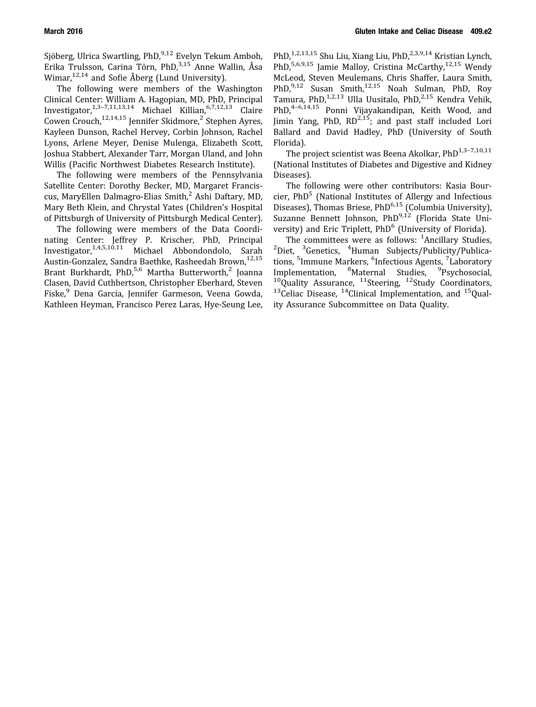Sjöberg, Ulrica Swartling, PhD,<sup>9,12</sup> Evelyn Tekum Amboh, Erika Trulsson, Carina Törn, PhD,<sup>3,15</sup> Anne Wallin, Åsa Wimar,<sup>12,14</sup> and Sofie Åberg (Lund University).

The following were members of the Washington Clinical Center: William A. Hagopian, MD, PhD, Principal Investigator,  $1,3-7,11,13,14$  Michael Killian,  $6,7,12,13$  Claire Cowen Crouch,<sup>12,14,15</sup> Jennifer Skidmore,<sup>2</sup> Stephen Ayres, Kayleen Dunson, Rachel Hervey, Corbin Johnson, Rachel Lyons, Arlene Meyer, Denise Mulenga, Elizabeth Scott, Joshua Stabbert, Alexander Tarr, Morgan Uland, and John Willis (Pacific Northwest Diabetes Research Institute).

The following were members of the Pennsylvania Satellite Center: Dorothy Becker, MD, Margaret Franciscus, MaryEllen Dalmagro-Elias Smith, $<sup>2</sup>$  Ashi Daftary, MD,</sup> Mary Beth Klein, and Chrystal Yates (Children's Hospital of Pittsburgh of University of Pittsburgh Medical Center).

The following were members of the Data Coordinating Center: Jeffrey P. Krischer, PhD, Principal Investigator,1,4,5,10,11 Michael Abbondondolo, Sarah Austin-Gonzalez, Sandra Baethke, Rasheedah Brown, 12,15 Brant Burkhardt, PhD,<sup>5,6</sup> Martha Butterworth,<sup>2</sup> Joanna Clasen, David Cuthbertson, Christopher Eberhard, Steven Fiske,<sup>9</sup> Dena Garcia, Jennifer Garmeson, Veena Gowda, Kathleen Heyman, Francisco Perez Laras, Hye-Seung Lee,

PhD,<sup>1,2,13,15</sup> Shu Liu, Xiang Liu, PhD,<sup>2,3,9,14</sup> Kristian Lynch, PhD,<sup>5,6,9,15</sup> Jamie Malloy, Cristina McCarthy,<sup>12,15</sup> Wendy McLeod, Steven Meulemans, Chris Shaffer, Laura Smith, PhD,<sup>9,12</sup> Susan Smith,<sup>12,15</sup> Noah Sulman, PhD, Roy Tamura, PhD,<sup>1,2,13</sup> Ulla Uusitalo, PhD,<sup>2,15</sup> Kendra Vehik, PhD,<sup>4–6,14,15</sup> Ponni Vijayakandipan, Keith Wood, and Jimin Yang, PhD,  $RD^{2,15}$ ; and past staff included Lori Ballard and David Hadley, PhD (University of South Florida).

The project scientist was Beena Akolkar, PhD<sup>1,3-7,10,11</sup> (National Institutes of Diabetes and Digestive and Kidney Diseases).

The following were other contributors: Kasia Bourcier, PhD<sup>5</sup> (National Institutes of Allergy and Infectious Diseases), Thomas Briese, PhD<sup>6,15</sup> (Columbia University), Suzanne Bennett Johnson, PhD<sup>9,12</sup> (Florida State University) and Eric Triplett, PhD<sup>6</sup> (University of Florida).

The committees were as follows:  $<sup>1</sup>$ Ancillary Studies,</sup> The committees were as follows: <sup>1</sup>Ancillary Studies,<br><sup>2</sup>Diet, <sup>3</sup>Genetics, <sup>4</sup>Human Subjects/Publicity/Publications, <sup>5</sup>Immune Markers, <sup>6</sup>Infectious Agents, <sup>7</sup>Laboratory Implementation, <sup>8</sup>Maternal Studies, <sup>9</sup>Psychosocial,  $10Q$ uality Assurance,  $11$ Steering,  $12$ Study Coordinators,  $13$ Celiac Disease,  $14$ Clinical Implementation, and  $15$ Quality Assurance Subcommittee on Data Quality.